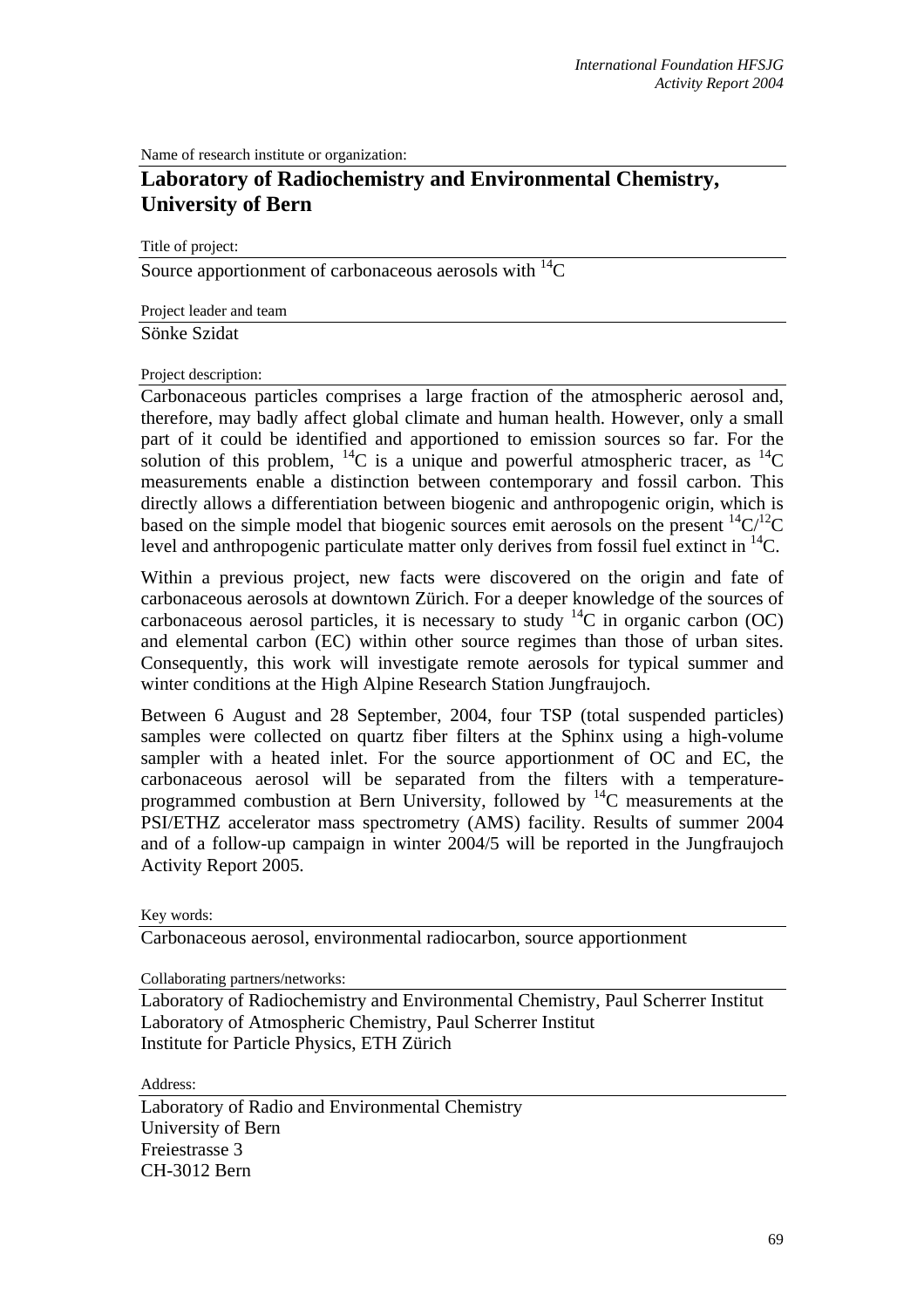Name of research institute or organization:

## **Laboratory of Radiochemistry and Environmental Chemistry, University of Bern**

Title of project:

Source apportionment of carbonaceous aerosols with  ${}^{14}C$ 

Project leader and team Sönke Szidat

Project description:

Carbonaceous particles comprises a large fraction of the atmospheric aerosol and, therefore, may badly affect global climate and human health. However, only a small part of it could be identified and apportioned to emission sources so far. For the solution of this problem, <sup>14</sup>C is a unique and powerful atmospheric tracer, as <sup>14</sup>C measurements enable a distinction between contemporary and fossil carbon. This directly allows a differentiation between biogenic and anthropogenic origin, which is based on the simple model that biogenic sources emit aerosols on the present  ${}^{14}C/{}^{12}C$ level and anthropogenic particulate matter only derives from fossil fuel extinct in  ${}^{14}C$ .

Within a previous project, new facts were discovered on the origin and fate of carbonaceous aerosols at downtown Zürich. For a deeper knowledge of the sources of carbonaceous aerosol particles, it is necessary to study  ${}^{14}C$  in organic carbon (OC) and elemental carbon (EC) within other source regimes than those of urban sites. Consequently, this work will investigate remote aerosols for typical summer and winter conditions at the High Alpine Research Station Jungfraujoch.

Between 6 August and 28 September, 2004, four TSP (total suspended particles) samples were collected on quartz fiber filters at the Sphinx using a high-volume sampler with a heated inlet. For the source apportionment of OC and EC, the carbonaceous aerosol will be separated from the filters with a temperatureprogrammed combustion at Bern University, followed by 14C measurements at the PSI/ETHZ accelerator mass spectrometry (AMS) facility. Results of summer 2004 and of a follow-up campaign in winter 2004/5 will be reported in the Jungfraujoch Activity Report 2005.

Key words:

Carbonaceous aerosol, environmental radiocarbon, source apportionment

Collaborating partners/networks:

Laboratory of Radiochemistry and Environmental Chemistry, Paul Scherrer Institut Laboratory of Atmospheric Chemistry, Paul Scherrer Institut Institute for Particle Physics, ETH Zürich

Address:

Laboratory of Radio and Environmental Chemistry University of Bern Freiestrasse 3 CH-3012 Bern